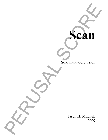Solo multi-percussion

**Scan**

Scan<br>
Scan<br>
Scan<br>
Jason II. Mitchell<br>
Jason II. Mitchell<br>
2009 Jason H. Mitchell 2009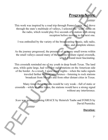# **Program Notes:**

This work was inspired by a road trip through Pennsylvania. As I drove through the state's multitude of valleys, I selected the "scan" mode on the radio, which would play five seconds of a station with strong reception before moving to the next one.

I was enthralled by the variety of the broadcasting: music, talk radio, static, and complete silence.

As the journey progressed, the presence of so many small towns within the small valleys caused many of the stations to share signal crosstalk, which I found most fascinating.

**Program Notes:**<br>
This work was inspired by a road trip through Pennsylvania. As I drove<br>
through the state's multitude of valleys, il selected the "searly mode on<br>
the radio, which would play live seconds of a station wit This crosstalk reminded me of my youth in deep South Texas. The land area, while quite large, had very few radio stations on the American side of the border. As a result, I spent many nights—when the radio signals traveled farther without interference—listening to rock stations broadcast from Mexico and from other distant cities in Texas.

Many times these stations would be very weak—full of static or crosstalk—while at other times, the stations would have a strong signal without any interference.

*Scan* was generated using GRACE by Heinrich Taube and FOMUS by David Psenicka.

### **Duration:**

 $7'$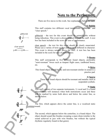## **Note to the Performer:**

There are five staves in this work. See explanations below for each.

#### **1) Babble**

This staff contains two different vocal instructions: "gibberish" and "clear speech."

gibberish – the text for this event should be unintelligible without being ridiculous. This event is always notated beneath the staff. A text box has been included in the score for ease of performance.

clear speech – the text for this event should be clearly enunciated. Please use a variety of texts so that each event is different in character. This event is always notated above the staff. A text box has been included in the score for ease of performance.

#### **2) Booms**

This staff corresponds to five different found objects, preferably "semi-resonant" boxes such as timpani flight cases, cardboard boxes, etc.

#### **3) Drive**

This found object should be dry and non-resonant similar in sound to a practice pad.

#### **4) Sparse**

These four found objects should be resonant and metallic such as suspended cymbals.

#### **5) Static**

This staff consists of two separate instruments, 1) vocal and 2) a found object. There will instances when both instruments occur and these will be marked by notes both above and below the center line, as shown below:

The first, which appears above the center line, is a vocalized static sound.

The second, which appears below the centerline, is a found object. The object should sound like brushes sweeping a snare drum (similar to the sound achieved in jazz with wire brushes, but without the typical rhythmic regularity found in that genre).





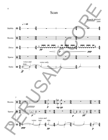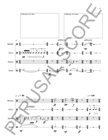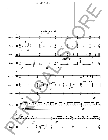